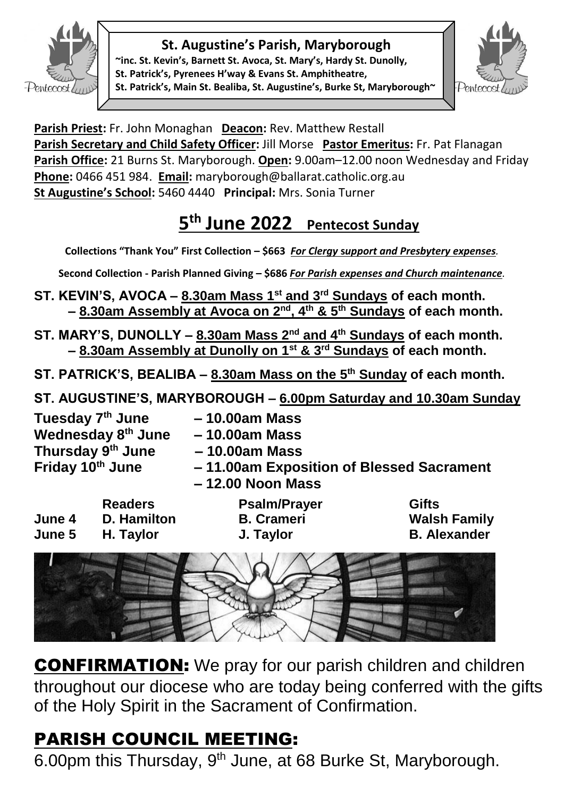

### **St. Augustine's Parish, Maryborough**

**~inc. St. Kevin's, Barnett St. Avoca, St. Mary's, Hardy St. Dunolly, St. Patrick's, Pyrenees H'way & Evans St. Amphitheatre, St. Patrick's, Main St. Bealiba, St. Augustine's, Burke St, Maryborough~**



**Parish Priest:** Fr. John Monaghan **Deacon:** Rev. Matthew Restall Parish Secretary and Child Safety Officer: Jill Morse Pastor Emeritus: Fr. Pat Flanagan **Parish Office:** 21 Burns St. Maryborough. **Open:** 9.00am–12.00 noon Wednesday and Friday **Phone:** 0466 451 984. **Email:** [maryborough@ballarat.catholic.org.au](mailto:maryborough@ballarat.catholic.org.au)  **St Augustine's School:** 5460 4440 **Principal:** Mrs. Sonia Turner

## **5 th June 2022 Pentecost Sunday**

**Collections "Thank You" First Collection – \$663** *For Clergy* **s***upport and Presbytery expenses.* 

**Second Collection - Parish Planned Giving – \$686** *For Parish expenses and Church maintenance.*

- **ST. KEVIN'S, AVOCA – 8.30am Mass 1st and 3rd Sundays of each month. – 8.30am Assembly at Avoca on 2nd, 4th & 5th Sundays of each month.**
- **ST. MARY'S, DUNOLLY – 8.30am Mass 2nd and 4th Sundays of each month. – 8.30am Assembly at Dunolly on 1st & 3rd Sundays of each month.**
- **ST. PATRICK'S, BEALIBA – 8.30am Mass on the 5th Sunday of each month.**
- **ST. AUGUSTINE'S, MARYBOROUGH – 6.00pm Saturday and 10.30am Sunday**

**Tuesday 7 Wednesday 8 Thursday 9**

- **th June – 10.00am Mass**
- **th June – 10.00am Mass**
- **th June – 10.00am Mass**
- **Friday 10th June – 11.00am Exposition of Blessed Sacrament – 12.00 Noon Mass**
- **Readers Psalm/Prayer Gifts June 4 D. Hamilton B. Crameri Walsh Family June 5 H. Taylor J. Taylor B. Alexander**
	-



CONFIRMATION: We pray for our parish children and children throughout our diocese who are today being conferred with the gifts of the Holy Spirit in the Sacrament of Confirmation.

# PARISH COUNCIL MEETING:

6.00pm this Thursday, 9<sup>th</sup> June, at 68 Burke St, Maryborough.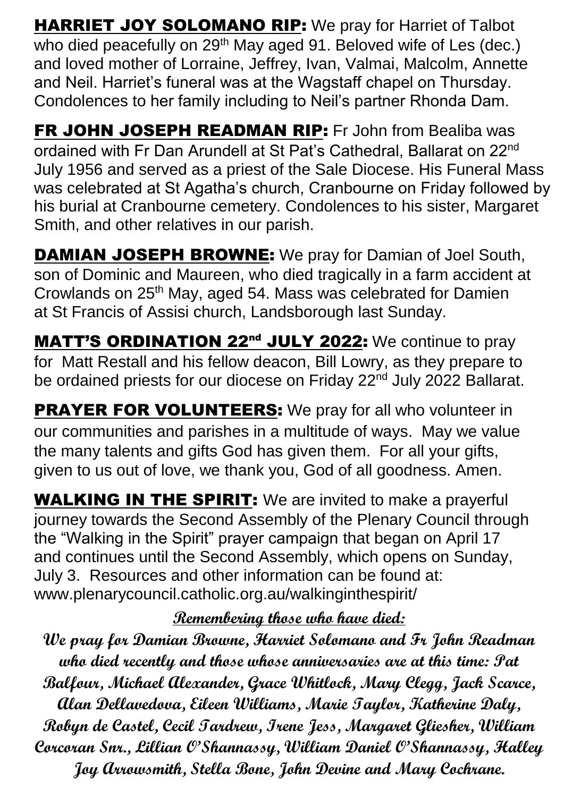HARRIET JOY SOLOMANO RIP: We pray for Harriet of Talbot who died peacefully on 29<sup>th</sup> May aged 91. Beloved wife of Les (dec.) and loved mother of Lorraine, Jeffrey, Ivan, Valmai, Malcolm, Annette and Neil. Harriet's funeral was at the Wagstaff chapel on Thursday. Condolences to her family including to Neil's partner Rhonda Dam.

FR JOHN JOSEPH READMAN RIP: Fr John from Bealiba was ordained with Fr Dan Arundell at St Pat's Cathedral, Ballarat on 22<sup>nd</sup> July 1956 and served as a priest of the Sale Diocese. His Funeral Mass was celebrated at St Agatha's church, Cranbourne on Friday followed by his burial at Cranbourne cemetery. Condolences to his sister, Margaret Smith, and other relatives in our parish.

**DAMIAN JOSEPH BROWNE:** We pray for Damian of Joel South, son of Dominic and Maureen, who died tragically in a farm accident at Crowlands on 25th May, aged 54. Mass was celebrated for Damien at St Francis of Assisi church, Landsborough last Sunday.

MATT'S ORDINATION 22<sup>nd</sup> JULY 2022: We continue to pray for Matt Restall and his fellow deacon, Bill Lowry, as they prepare to be ordained priests for our diocese on Friday 22<sup>nd</sup> July 2022 Ballarat.

**PRAYER FOR VOLUNTEERS:** We pray for all who volunteer in our communities and parishes in a multitude of ways. May we value the many talents and gifts God has given them. For all your gifts, given to us out of love, we thank you, God of all goodness. Amen.

**WALKING IN THE SPIRIT:** We are invited to make a prayerful journey towards the Second Assembly of the Plenary Council through the "Walking in the Spirit" prayer campaign that began on April 17 and continues until the Second Assembly, which opens on Sunday, July 3. Resources and other information can be found at: [www.plenarycouncil.catholic.org.au/walkinginthespirit/](http://www.plenarycouncil.catholic.org.au/walkinginthespirit/)

### **Remembering those who have died:**

**We pray for Damian Browne, Harriet Solomano and Fr John Readman who died recently and those whose anniversaries are at this time: Pat Balfour, Michael Alexander, Grace Whitlock, Mary Clegg, Jack Scarce, Alan Dellavedova, Eileen Williams, Marie Taylor, Katherine Daly, Robyn de Castel, Cecil Tardrew, Irene Jess, Margaret Gliesher, William Corcoran Snr., Lillian O'Shannassy, William Daniel O'Shannassy, Halley Joy Arrowsmith, Stella Bone, John Devine and Mary Cochrane.**